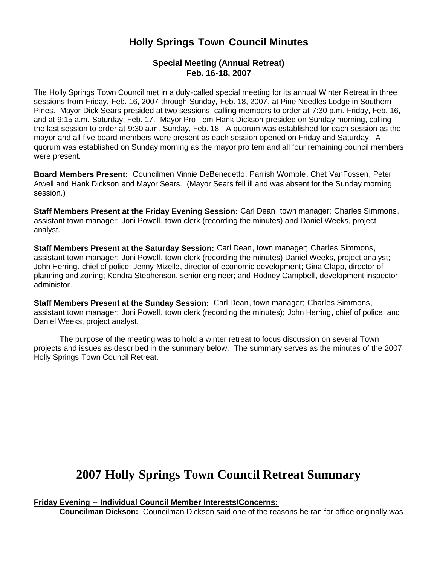# **Holly Springs Town Council Minutes**

# **Special Meeting (Annual Retreat) Feb. 16-18, 2007**

The Holly Springs Town Council met in a duly-called special meeting for its annual Winter Retreat in three sessions from Friday, Feb. 16, 2007 through Sunday, Feb. 18, 2007, at Pine Needles Lodge in Southern Pines. Mayor Dick Sears presided at two sessions, calling members to order at 7:30 p.m. Friday, Feb. 16, and at 9:15 a.m. Saturday, Feb. 17. Mayor Pro Tem Hank Dickson presided on Sunday morning, calling the last session to order at 9:30 a.m. Sunday, Feb. 18. A quorum was established for each session as the mayor and all five board members were present as each session opened on Friday and Saturday. A quorum was established on Sunday morning as the mayor pro tem and all four remaining council members were present.

**Board Members Present:** Councilmen Vinnie DeBenedetto, Parrish Womble, Chet VanFossen, Peter Atwell and Hank Dickson and Mayor Sears. (Mayor Sears fell ill and was absent for the Sunday morning session.)

**Staff Members Present at the Friday Evening Session:** Carl Dean, town manager; Charles Simmons, assistant town manager; Joni Powell, town clerk (recording the minutes) and Daniel Weeks, project analyst.

**Staff Members Present at the Saturday Session:** Carl Dean, town manager; Charles Simmons, assistant town manager; Joni Powell, town clerk (recording the minutes) Daniel Weeks, project analyst; John Herring, chief of police; Jenny Mizelle, director of economic development; Gina Clapp, director of planning and zoning; Kendra Stephenson, senior engineer; and Rodney Campbell, development inspector administor.

**Staff Members Present at the Sunday Session:** Carl Dean, town manager; Charles Simmons, assistant town manager; Joni Powell, town clerk (recording the minutes); John Herring, chief of police; and Daniel Weeks, project analyst.

 The purpose of the meeting was to hold a winter retreat to focus discussion on several Town projects and issues as described in the summary below. The summary serves as the minutes of the 2007 Holly Springs Town Council Retreat.

# **2007 Holly Springs Town Council Retreat Summary**

**Friday Evening -- Individual Council Member Interests/Concerns:**

 **Councilman Dickson:** Councilman Dickson said one of the reasons he ran for office originally was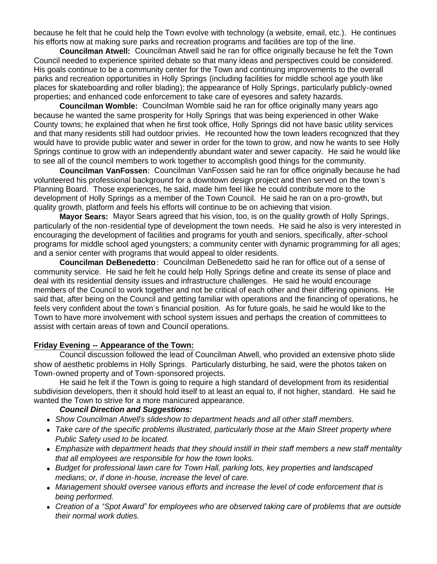because he felt that he could help the Town evolve with technology (a website, email, etc.). He continues his efforts now at making sure parks and recreation programs and facilities are top of the line.

 **Councilman Atwell:** Councilman Atwell said he ran for office originally because he felt the Town Council needed to experience spirited debate so that many ideas and perspectives could be considered. His goals continue to be a community center for the Town and continuing improvements to the overall parks and recreation opportunities in Holly Springs (including facilities for middle school age youth like places for skateboarding and roller blading); the appearance of Holly Springs, particularly publicly-owned properties; and enhanced code enforcement to take care of eyesores and safety hazards.

 **Councilman Womble:** Councilman Womble said he ran for office originally many years ago because he wanted the same prosperity for Holly Springs that was being experienced in other Wake County towns; he explained that when he first took office, Holly Springs did not have basic utility services and that many residents still had outdoor privies. He recounted how the town leaders recognized that they would have to provide public water and sewer in order for the town to grow, and now he wants to see Holly Springs continue to grow with an independently abundant water and sewer capacity. He said he would like to see all of the council members to work together to accomplish good things for the community.

 **Councilman VanFossen:** Councilman VanFossen said he ran for office originally because he had volunteered his professional background for a downtown design project and then served on the town's Planning Board. Those experiences, he said, made him feel like he could contribute more to the development of Holly Springs as a member of the Town Council. He said he ran on a pro-growth, but quality growth, platform and feels his efforts will continue to be on achieving that vision.

 **Mayor Sears:** Mayor Sears agreed that his vision, too, is on the quality growth of Holly Springs, particularly of the non-residential type of development the town needs. He said he also is very interested in encouraging the development of facilities and programs for youth and seniors, specifically, after-school programs for middle school aged youngsters; a community center with dynamic programming for all ages; and a senior center with programs that would appeal to older residents.

 **Councilman DeBenedetto :** Councilman DeBenedetto said he ran for office out of a sense of community service. He said he felt he could help Holly Springs define and create its sense of place and deal with its residential density issues and infrastructure challenges. He said he would encourage members of the Council to work together and not be critical of each other and their differing opinions. He said that, after being on the Council and getting familiar with operations and the financing of operations, he feels very confident about the town's financial position. As for future goals, he said he would like to the Town to have more involvement with school system issues and perhaps the creation of committees to assist with certain areas of town and Council operations.

#### **Friday Evening -- Appearance of the Town:**

Council discussion followed the lead of Councilman Atwell, who provided an extensive photo slide show of aesthetic problems in Holly Springs. Particularly disturbing, he said, were the photos taken on Town-owned property and of Town-sponsored projects.

 He said he felt if the Town is going to require a high standard of development from its residential subdivision developers, then it should hold itself to at least an equal to, if not higher, standard. He said he wanted the Town to strive for a more manicured appearance.

#### *Council Direction and Suggestions:*

- *Show Councilman Atwell's slideshow to department heads and all other staff members.*
- *Take care of the specific problems illustrated, particularly those at the Main Street property where Public Safety used to be located.*
- *Emphasize with department heads that they should instill in their staff members a new staff mentality that all employees are responsible for how the town looks.*
- *Budget for professional lawn care for Town Hall, parking lots, key properties and landscaped medians; or, if done in-house, increase the level of care.*
- *Management should oversee various efforts and increase the level of code enforcement that is being performed.*
- *Creation of a "Spot Award" for employees who are observed taking care of problems that are outside their normal work duties.*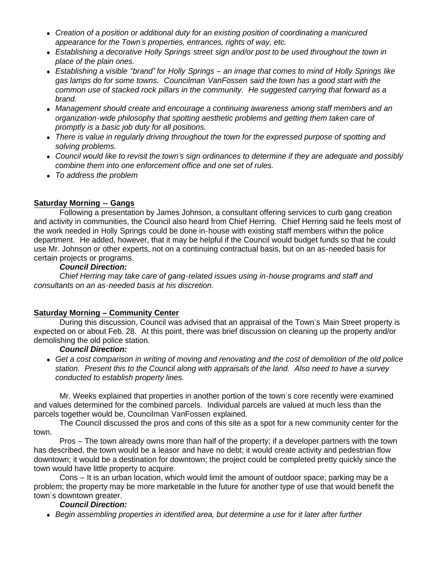- *Creation of a position or additional duty for an existing position of coordinating a manicured appearance for the Town's properties, entrances, rights of way, etc.*
- Establishing a decorative Holly Springs street sign and/or post to be used throughout the town in *place of the plain ones.*
- *Establishing a visible "brand" for Holly Springs – an image that comes to mind of Holly Springs like gas lamps do for some towns. Councilman VanFossen said the town has a good start with the common use of stacked rock pillars in the community. He suggested carrying that forward as a brand.*
- *Management should create and encourage a continuing awareness among staff members and an organization-wide philosophy that spotting aesthetic problems and getting them taken care of promptly is a basic job duty for all positions.*
- *There is value in regularly driving throughout the town for the expressed purpose of spotting and solving problems.*
- *Council would like to revisit the town's sign ordinances to determine if they are adequate and possibly combine them into one enforcement office and one set of rules.*
- *To address the problem*

#### **Saturday Morning -- Gangs**

 Following a presentation by James Johnson, a consultant offering services to curb gang creation and activity in communities, the Council also heard from Chief Herring. Chief Herring said he feels most of the work needed in Holly Springs could be done in-house with existing staff members within the police department. He added, however, that it may be helpful if the Council would budget funds so that he could use Mr. Johnson or other experts, not on a continuing contractual basis, but on an as-needed basis for certain projects or programs.

#### *Council Direction:*

 *Chief Herring may take care of gang-related issues using in-house programs and staff and consultants on an as-needed basis at his discretion.*

# **Saturday Morning – Community Center**

 During this discussion, Council was advised that an appraisal of the Town's Main Street property is expected on or about Feb. 28. At this point, there was brief discussion on cleaning up the property and/or demolishing the old police station.

#### *Council Direction:*

 *Get a cost comparison in writing of moving and renovating and the cost of demolition of the old police station. Present this to the Council along with appraisals of the land. Also need to have a survey conducted to establish property lines.*

 Mr. Weeks explained that properties in another portion of the town's core recently were examined and values determined for the combined parcels. Individual parcels are valued at much less than the parcels together would be, Councilman VanFossen explained.

 The Council discussed the pros and cons of this site as a spot for a new community center for the town.

 Pros – The town already owns more than half of the property; if a developer partners with the town has described, the town would be a leasor and have no debt; it would create activity and pedestrian flow downtown; it would be a destination for downtown; the project could be completed pretty quickly since the town would have little property to acquire.

 Cons – It is an urban location, which would limit the amount of outdoor space; parking may be a problem; the property may be more marketable in the future for another type of use that would benefit the town's downtown greater.

#### *Council Direction:*

*Begin assembling properties in identified area, but determine a use for it later after further*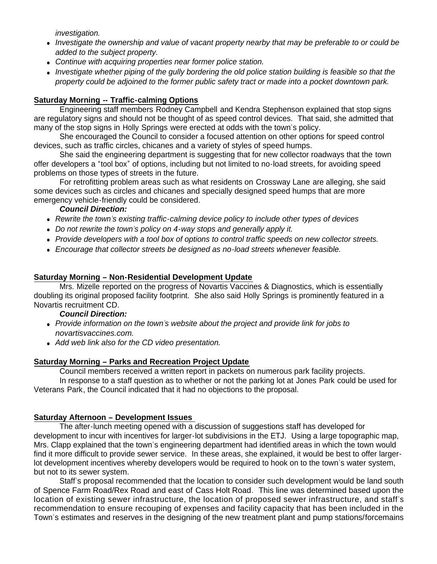*investigation.*

- *Investigate the ownership and value of vacant property nearby that may be preferable to or could be added to the subject property.*
- *Continue with acquiring properties near former police station.*
- *Investigate whether piping of the gully bordering the old police station building is feasible so that the property could be adjoined to the former public safety tract or made into a pocket downtown park.*

# **Saturday Morning -- Traffic-calming Options**

 Engineering staff members Rodney Campbell and Kendra Stephenson explained that stop signs are regulatory signs and should not be thought of as speed control devices. That said, she admitted that many of the stop signs in Holly Springs were erected at odds with the town's policy.

 She encouraged the Council to consider a focused attention on other options for speed control devices, such as traffic circles, chicanes and a variety of styles of speed humps.

 She said the engineering department is suggesting that for new collector roadways that the town offer developers a "tool box" of options, including but not limited to no-load streets, for avoiding speed problems on those types of streets in the future.

 For retrofitting problem areas such as what residents on Crossway Lane are alleging, she said some devices such as circles and chicanes and specially designed speed humps that are more emergency vehicle-friendly could be considered.

#### *Council Direction:*

- *Rewrite the town's existing traffic-calming device policy to include other types of devices*
- *Do not rewrite the town's policy on 4-way stops and generally apply it.*
- *Provide developers with a tool box of options to control traffic speeds on new collector streets.*
- *Encourage that collector streets be designed as no-load streets whenever feasible.*

#### **Saturday Morning – Non-Residential Development Update**

 Mrs. Mizelle reported on the progress of Novartis Vaccines & Diagnostics, which is essentially doubling its original proposed facility footprint. She also said Holly Springs is prominently featured in a Novartis recruitment CD.

#### *Council Direction:*

- *Provide information on the town's website about the project and provide link for jobs to novartisvaccines.com.*
- *Add web link also for the CD video presentation.*

# **Saturday Morning – Parks and Recreation Project Update**

Council members received a written report in packets on numerous park facility projects.

 In response to a staff question as to whether or not the parking lot at Jones Park could be used for Veterans Park, the Council indicated that it had no objections to the proposal.

# **Saturday Afternoon – Development Issues**

 The after-lunch meeting opened with a discussion of suggestions staff has developed for development to incur with incentives for larger-lot subdivisions in the ETJ. Using a large topographic map, Mrs. Clapp explained that the town's engineering department had identified areas in which the town would find it more difficult to provide sewer service. In these areas, she explained, it would be best to offer largerlot development incentives whereby developers would be required to hook on to the town's water system, but not to its sewer system.

 Staff's proposal recommended that the location to consider such development would be land south of Spence Farm Road/Rex Road and east of Cass Holt Road. This line was determined based upon the location of existing sewer infrastructure, the location of proposed sewer infrastructure, and staff's recommendation to ensure recouping of expenses and facility capacity that has been included in the Town's estimates and reserves in the designing of the new treatment plant and pump stations/forcemains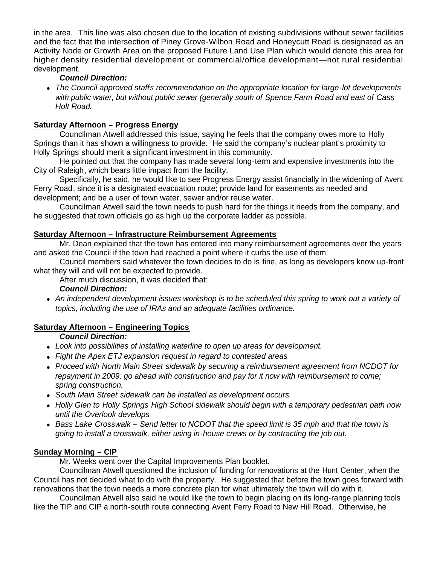in the area. This line was also chosen due to the location of existing subdivisions without sewer facilities and the fact that the intersection of Piney Grove-Wilbon Road and Honeycutt Road is designated as an Activity Node or Growth Area on the proposed Future Land Use Plan which would denote this area for higher density residential development or commercial/office development—not rural residential development.

# *Council Direction:*

 *The Council approved staff's recommendation on the appropriate location for large-lot developments with public water, but without public sewer (generally south of Spence Farm Road and east of Cass Holt Road.*

# **Saturday Afternoon – Progress Energy**

 Councilman Atwell addressed this issue, saying he feels that the company owes more to Holly Springs than it has shown a willingness to provide. He said the company's nuclear plant's proximity to Holly Springs should merit a significant investment in this community.

 He pointed out that the company has made several long-term and expensive investments into the City of Raleigh, which bears little impact from the facility.

 Specifically, he said, he would like to see Progress Energy assist financially in the widening of Avent Ferry Road, since it is a designated evacuation route; provide land for easements as needed and development; and be a user of town water, sewer and/or reuse water.

 Councilman Atwell said the town needs to push hard for the things it needs from the company, and he suggested that town officials go as high up the corporate ladder as possible.

# **Saturday Afternoon – Infrastructure Reimbursement Agreements**

 Mr. Dean explained that the town has entered into many reimbursement agreements over the years and asked the Council if the town had reached a point where it curbs the use of them.

 Council members said whatever the town decides to do is fine, as long as developers know up-front what they will and will not be expected to provide.

After much discussion, it was decided that:

 *Council Direction:*

 *An independent development issues workshop is to be scheduled this spring to work out a variety of topics, including the use of IRAs and an adequate facilities ordinance.*

# **Saturday Afternoon – Engineering Topics**

*Council Direction:*

- *Look into possibilities of installing waterline to open up areas for development.*
- *Fight the Apex ETJ expansion request in regard to contested areas*
- *Proceed with North Main Street sidewalk by securing a reimbursement agreement from NCDOT for repayment in 2009; go ahead with construction and pay for it now with reimbursement to come; spring construction.*
- *South Main Street sidewalk can be installed as development occurs.*
- *Holly Glen to Holly Springs High School sidewalk should begin with a temporary pedestrian path now until the Overlook develops*
- *Bass Lake Crosswalk – Send letter to NCDOT that the speed limit is 35 mph and that the town is going to install a crosswalk, either using in-house crews or by contracting the job out.*

# **Sunday Morning – CIP**

Mr. Weeks went over the Capital Improvements Plan booklet.

 Councilman Atwell questioned the inclusion of funding for renovations at the Hunt Center, when the Council has not decided what to do with the property. He suggested that before the town goes forward with renovations that the town needs a more concrete plan for what ultimately the town will do with it.

 Councilman Atwell also said he would like the town to begin placing on its long-range planning tools like the TIP and CIP a north-south route connecting Avent Ferry Road to New Hill Road. Otherwise, he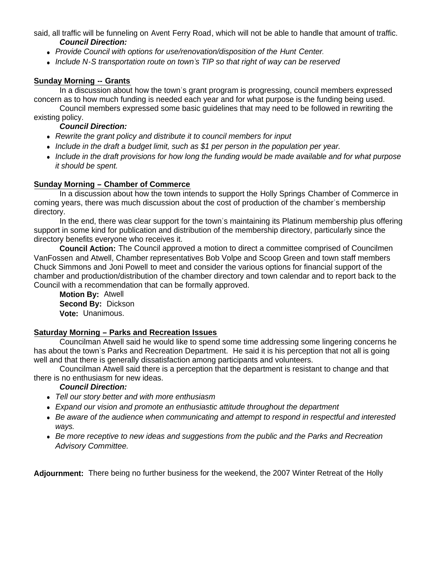said, all traffic will be funneling on Avent Ferry Road, which will not be able to handle that amount of traffic. *Council Direction:*

- *Provide Council with options for use/renovation/disposition of the Hunt Center.*
- *Include N-S transportation route on town's TIP so that right of way can be reserved*

# **Sunday Morning -- Grants**

In a discussion about how the town's grant program is progressing, council members expressed concern as to how much funding is needed each year and for what purpose is the funding being used.

 Council members expressed some basic guidelines that may need to be followed in rewriting the existing policy.

#### *Council Direction:*

- *Rewrite the grant policy and distribute it to council members for input*
- *Include in the draft a budget limit, such as \$1 per person in the population per year.*
- *Include in the draft provisions for how long the funding would be made available and for what purpose it should be spent.*

#### **Sunday Morning – Chamber of Commerce**

In a discussion about how the town intends to support the Holly Springs Chamber of Commerce in coming years, there was much discussion about the cost of production of the chamber's membership directory.

 In the end, there was clear support for the town's maintaining its Platinum membership plus offering support in some kind for publication and distribution of the membership directory, particularly since the directory benefits everyone who receives it.

 **Council Action:** The Council approved a motion to direct a committee comprised of Councilmen VanFossen and Atwell, Chamber representatives Bob Volpe and Scoop Green and town staff members Chuck Simmons and Joni Powell to meet and consider the various options for financial support of the chamber and production/distribution of the chamber directory and town calendar and to report back to the Council with a recommendation that can be formally approved.

 **Motion By:** Atwell **Second By:** Dickson **Vote:** Unanimous.

# **Saturday Morning – Parks and Recreation Issues**

 Councilman Atwell said he would like to spend some time addressing some lingering concerns he has about the town's Parks and Recreation Department. He said it is his perception that not all is going well and that there is generally dissatisfaction among participants and volunteers.

 Councilman Atwell said there is a perception that the department is resistant to change and that there is no enthusiasm for new ideas.

#### *Council Direction:*

- *Tell our story better and with more enthusiasm*
- *Expand our vision and promote an enthusiastic attitude throughout the department*
- *Be aware of the audience when communicating and attempt to respond in respectful and interested ways.*
- *Be more receptive to new ideas and suggestions from the public and the Parks and Recreation Advisory Committee.*

**Adjournment:** There being no further business for the weekend, the 2007 Winter Retreat of the Holly